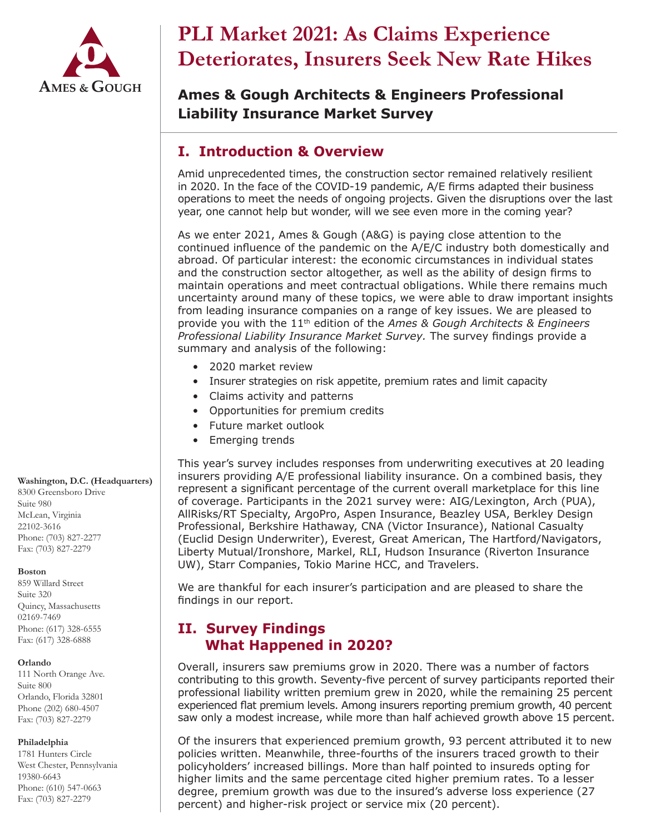

# **PLI Market 2021: As Claims Experience Deteriorates, Insurers Seek New Rate Hikes**

**Ames & Gough Architects & Engineers Professional Liability Insurance Market Survey**

# **I. Introduction & Overview**

Amid unprecedented times, the construction sector remained relatively resilient in 2020. In the face of the COVID-19 pandemic, A/E firms adapted their business operations to meet the needs of ongoing projects. Given the disruptions over the last year, one cannot help but wonder, will we see even more in the coming year?

As we enter 2021, Ames & Gough (A&G) is paying close attention to the continued influence of the pandemic on the A/E/C industry both domestically and abroad. Of particular interest: the economic circumstances in individual states and the construction sector altogether, as well as the ability of design firms to maintain operations and meet contractual obligations. While there remains much uncertainty around many of these topics, we were able to draw important insights from leading insurance companies on a range of key issues. We are pleased to provide you with the 11th edition of the *Ames & Gough Architects & Engineers Professional Liability Insurance Market Survey.* The survey findings provide a summary and analysis of the following:

- 2020 market review
- Insurer strategies on risk appetite, premium rates and limit capacity
- Claims activity and patterns
- Opportunities for premium credits
- Future market outlook
- Emerging trends

This year's survey includes responses from underwriting executives at 20 leading insurers providing A/E professional liability insurance. On a combined basis, they represent a significant percentage of the current overall marketplace for this line of coverage. Participants in the 2021 survey were: AIG/Lexington, Arch (PUA), AllRisks/RT Specialty, ArgoPro, Aspen Insurance, Beazley USA, Berkley Design Professional, Berkshire Hathaway, CNA (Victor Insurance), National Casualty (Euclid Design Underwriter), Everest, Great American, The Hartford/Navigators, Liberty Mutual/Ironshore, Markel, RLI, Hudson Insurance (Riverton Insurance UW), Starr Companies, Tokio Marine HCC, and Travelers.

We are thankful for each insurer's participation and are pleased to share the findings in our report.

# **II. Survey Findings What Happened in 2020?**

Overall, insurers saw premiums grow in 2020. There was a number of factors contributing to this growth. Seventy-five percent of survey participants reported their professional liability written premium grew in 2020, while the remaining 25 percent experienced flat premium levels. Among insurers reporting premium growth, 40 percent saw only a modest increase, while more than half achieved growth above 15 percent.

Of the insurers that experienced premium growth, 93 percent attributed it to new policies written. Meanwhile, three-fourths of the insurers traced growth to their policyholders' increased billings. More than half pointed to insureds opting for higher limits and the same percentage cited higher premium rates. To a lesser degree, premium growth was due to the insured's adverse loss experience (27 percent) and higher-risk project or service mix (20 percent).

8300 Greensboro Drive Suite 980 McLean, Virginia 22102-3616 Phone: (703) 827-2277 Fax: (703) 827-2279

**Washington, D.C. (Headquarters)**

#### **Boston**

859 Willard Street Suite 320 Quincy, Massachusetts 02169-7469 Phone: (617) 328-6555 Fax: (617) 328-6888

#### **Orlando**

111 North Orange Ave. Suite 800 Orlando, Florida 32801 Phone (202) 680-4507 Fax: (703) 827-2279

#### **Philadelphia**

1781 Hunters Circle West Chester, Pennsylvania 19380-6643 Phone: (610) 547-0663 Fax: (703) 827-2279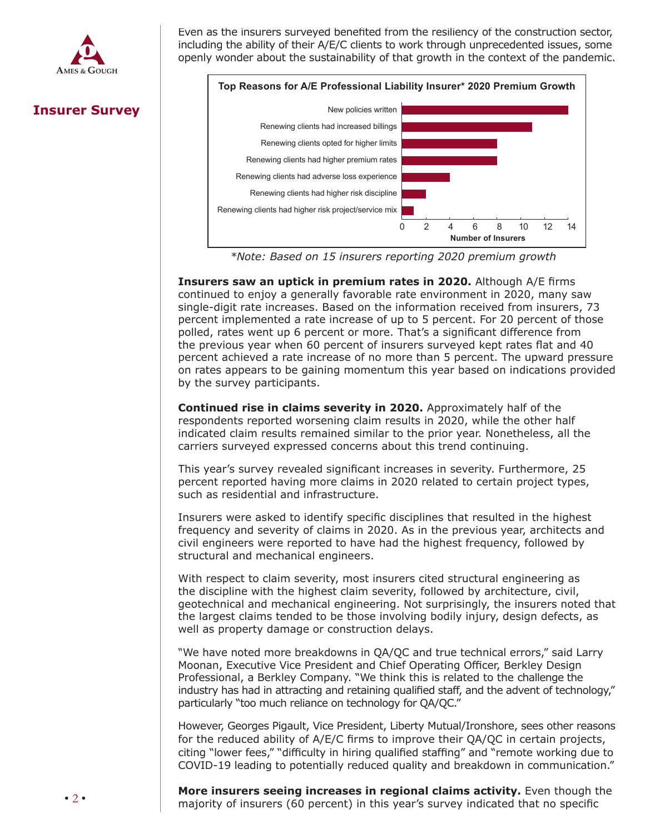

Even as the insurers surveyed benefited from the resiliency of the construction sector, including the ability of their A/E/C clients to work through unprecedented issues, some openly wonder about the sustainability of that growth in the context of the pandemic.



 *\*Note: Based on 15 insurers reporting 2020 premium growth* 

**Insurers saw an uptick in premium rates in 2020.** Although A/E firms continued to enjoy a generally favorable rate environment in 2020, many saw single-digit rate increases. Based on the information received from insurers, 73 percent implemented a rate increase of up to 5 percent. For 20 percent of those polled, rates went up 6 percent or more. That's a significant difference from the previous year when 60 percent of insurers surveyed kept rates flat and 40 percent achieved a rate increase of no more than 5 percent. The upward pressure on rates appears to be gaining momentum this year based on indications provided by the survey participants.  $W$  and  $\mathcal{L}$  and  $\mathcal{L}$  parameter multimidlion dollar payouts –  $\mathcal{L}$  payouts –  $\mathcal{L}$  payouts –  $\mathcal{L}$ 

**Continued rise in claims severity in 2020.** Approximately half of the **CONGINIGUATIST IN CRAIMS SEVERTLY IN 2020:** Approximately half of the respondents reported worsening claim results in 2020, while the other half indicated claim results remained similar to the prior year. Nonetheless, all the carriers surveyed expressed concerns about this trend continuing. increase in claim severity. The potential cost of  $\mathcal{I}$  malpractice cost of malpractice cost of malpractice cost of malpractice cost of malpractice cost of malpractice cost of malpractice cost of malpractice cost of ma

This year's survey revealed significant increases in severity. Furthermore, 25 percent reported having more claims in 2020 related to certain project types, such as residential and infrastructure.

Insurers were asked to identify specific disciplines that resulted in the highest frequency and severity of claims in 2020. As in the previous year, architects and civil engineers were reported to have had the highest frequency, followed by structural and mechanical engineers.

With respect to claim severity, most insurers cited structural engineering as the discipline with the highest claim severity, followed by architecture, civil, geotechnical and mechanical engineering. Not surprisingly, the insurers noted that the largest claims tended to be those involving bodily injury, design defects, as well as property damage or construction delays. **Transactions, Trust and Estates, Corporate & Securities, and Real Estate.**

"We have noted more breakdowns in QA/QC and true technical errors," said Larry<br>... Moonan, Executive Vice President and Chief Operating Officer, Berkley Design Professional, a Berkley Company. "We think this is related to the challenge the industry has had in attracting and retaining qualified staff, and the advent of technology," particularly "too much reliance on technology for QA/QC."

However, Georges Pigault, Vice President, Liberty Mutual/Ironshore, sees other reasons for the reduced ability of A/E/C firms to improve their QA/QC in certain projects, citing "lower fees," "difficulty in hiring qualified staffing" and "remote working due to COVID-19 leading to potentially reduced quality and breakdown in communication."

**More insurers seeing increases in regional claims activity.** Even though the majority of insurers (60 percent) in this year's survey indicated that no specific

## **Insurer Survey**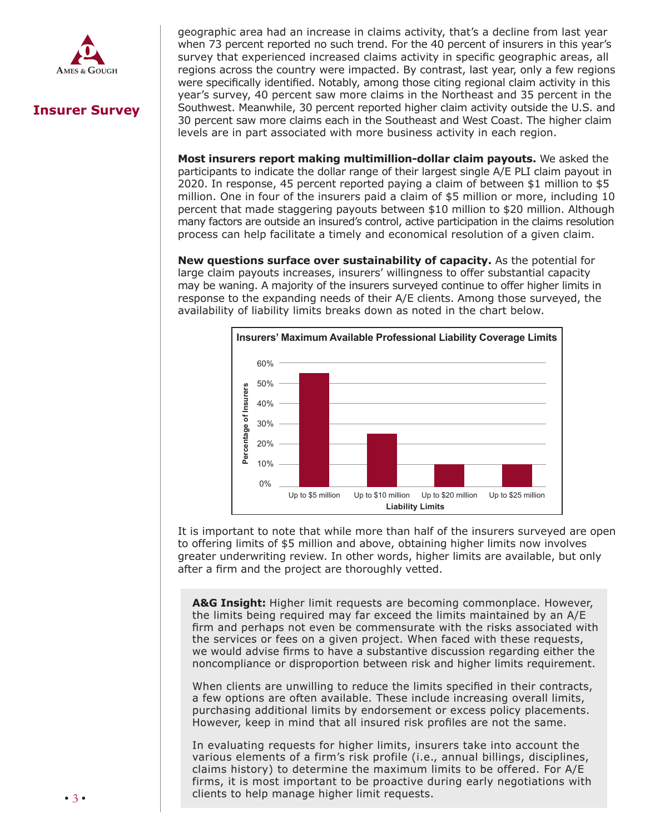

# **Insurer Survey**

when 73 percent reported no such trend. For the 40 percent of insurers in this year's survey that experienced increased claims activity in specific geographic areas, all regions across the country were impacted. By contrast, last year, only a few regions were specifically identified. Notably, among those citing regional claim activity in this client about the disadvantages of the transaction or implications of the issue; or failed to year's survey, 40 percent saw more claims in the Northeast and 35 percent in the year 3 sarvey, his percent saw more claims in the Northeast and 33 percent in the 30 percent saw more claims each in the Southeast and West Coast. The higher claim levels are in part associated with more business activity in each region. geographic area had an increase in claims activity, that's a decline from last year

Most insurers report making multimillion-dollar claim payouts. We asked the participants to indicate the dollar range of their largest single A/E PLI claim payout in participants to indicate the dollar range of their largest single A/E FEI claim payout in<br>2020. In response, 45 percent reported paying a claim of between \$1 million to \$5 million. One in four of the insurers paid a claim of \$5 million or more, including 10 percent that made staggering payouts between \$10 million to \$20 million. Although .<br>many factors are outside an insured's control, active participation in the claims resolution matter progresses and  $\frac{1}{2}$  of the scope of the engagement can  $\frac{1}{2}$  of the engagement can  $\frac{1}{2}$  and  $\frac{1}{2}$  or  $\frac{1}{2}$  or  $\frac{1}{2}$  or  $\frac{1}{2}$  or  $\frac{1}{2}$  or  $\frac{1}{2}$  or  $\frac{1}{2}$  or  $\frac{1}{2}$  or  $\frac{$ process can help facilitate a timely and economical resolution of a given claim.

timeframes, business transactions lawyers often lack the bandwidth or time to recognize

up providing input or advice on other aspects of the deal that is outside his or her area of **New questions surface over sustainability of capacity.** As the potential for may be waning. A majority of the insurers surveyed continue to offer higher limits in rate, a particular matter of the attorney stick to the role in the role. *In the matter in response to the expanding needs of their A/E clients. Among those surveyed, the copone to alco align with the description of the description of the description of the description of the description of the description of the description of the description of the description of the description of the d* availability of liability limits breaks down as noted in the chart below. large claim payouts increases, insurers' willingness to offer substantial capacity



It is important to note that while more than half of the insurers surveyed are open to offering limits of \$5 million and above, obtaining higher limits now involves greater underwriting review. In other words, higher limits are available, but only after a firm and the project are thoroughly vetted.

**A&G Insight:** Higher limit requests are becoming commonplace. However, the limits being required may far exceed the limits maintained by an A/E firm and perhaps not even be commensurate with the risks associated with the services or fees on a given project. When faced with these requests, we would advise firms to have a substantive discussion regarding either the noncompliance or disproportion between risk and higher limits requirement.

purchasing additional limits by endorsement or excess policy placements. However, keep in mind that all insured risk profiles are not the same. When clients are unwilling to reduce the limits specified in their contracts, a few options are often available. These include increasing overall limits,

Boomer" generation is retiring in greater numbers with a concomitant number of heirs In evaluating requests for higher limits, insurers take into account the various elements of a firm's risk profile (i.e., annual billings, disciplines, claims history) to determine the maximum limits to be offered. For A/E firms, it is most important to be proactive during early negotiations with clients to help manage higher limit requests.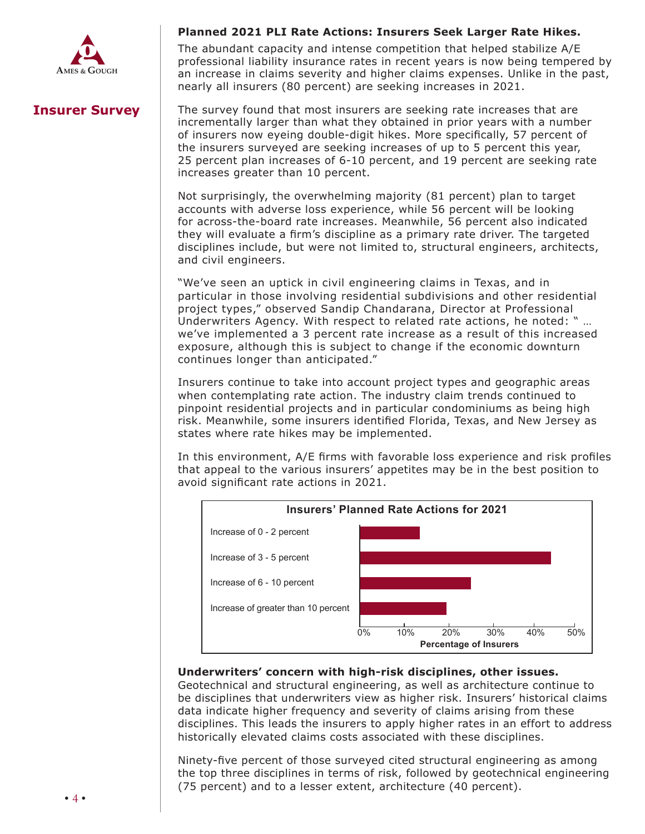

#### **Planned 2021 PLI Rate Actions: Insurers Seek Larger Rate Hikes.**

The abundant capacity and intense competition that helped stabilize A/E from abandant capacity and intense competition that helped stabilize  $\eta$  is non-client by professional liability insurance rates in recent years is now being tempered by  $\mu$  no longer being may not longer by strict privity requirements. Notably, levels of protection  $\mu$ an increase in claims severity and higher claims expenses. Unlike in the past, nearly all insurers (80 percent) are seeking increases in 2021.

## **Insurer Survey**

has not acted outside the scope of the attorney-client relationship. Other states permit The survey found that most insurers are seeking rate increases that are incrementally larger than what they obtained in prior years with a number of insurers now eyeing double-digit hikes. More specifically, 57 percent of  $\Omega$  is no way to complete the increased to the complete there is no way to the complete the second the second  $\Omega$ 25 percent plan increases of 6-10 percent, and 19 percent are seeking rate increases greater than 10 percent. the insurers surveyed are seeking increases of up to 5 percent this year,

 $\mathbf{S}$  agreement or engagement or engagement or engagement letter (outlining whom the attorney whom the attorney whom the attorney whom the attorney whom the attorney whom the attorney whom the attorney whom the attorne Not surprisingly, the overwhelming majority (81 percent) plan to target accounts with adverse loss experience, while 56 percent will be looking they will evaluate a firm's discipline as a primary rate driver. The targeted provides can further constant current current current in the current current current current current current cu<br>disciplines include hut were not limited to other characterise conductions on disciplines include, but were not limited to, structural engineers, architects, and civil engineers.  $\overline{a}$ for across-the-board rate increases. Meanwhile, 56 percent also indicated

"We've seen an uptick in civil engineering claims in Texas, and in **4) Conflicts of interest continues as most frequent malpractice error.**  project types," observed Sandip Chandarana, Director at Professional Underwriters Agency. With respect to related rate actions, he noted: " ... we've implemented a 3 percent rate increase as a result of this increased exposure, although this is subject to change if the economic downturn emption alleged manufacture common alleged the third common several matrix  $\mathcal{L}$ continues longer than anticipated."  $\blacksquare$ particular in those involving residential subdivisions and other residential

Insurers continue to take into account project types and geographic areas when contemplating rate action. The industry claim trends continued to pinpoint residential projects and in particular condominiums as being high .<br>risk. Meanwhile, some insurers identified Florida, Texas, and New Jersey as states where rate hikes may be implemented states where rate hikes may be implemented.

In this environment, A/E firms with favorable loss experience and risk profiles that appeal to the various insurers' appetites may be in the best position to avoid significant rate actions in 2021.



#### Underwriters' concern with high-risk disciplines, other issues.

Geotechnical and structural engineering, as well as architecture continue to be disciplines that underwriters view as higher risk. Insurers' historical claims data indicate higher frequency and severity of claims arising from these disciplines. This leads the insurers to apply higher rates in an effort to address historically elevated claims costs associated with these disciplines.

• **Anticipate**. Catalog all confidential data owned or maintained by the firm and Ninety-five percent of those surveyed cited structural engineering as among the top three disciplines in terms of risk, followed by geotechnical engineering (75 percent) and to a lesser extent, architecture (40 percent).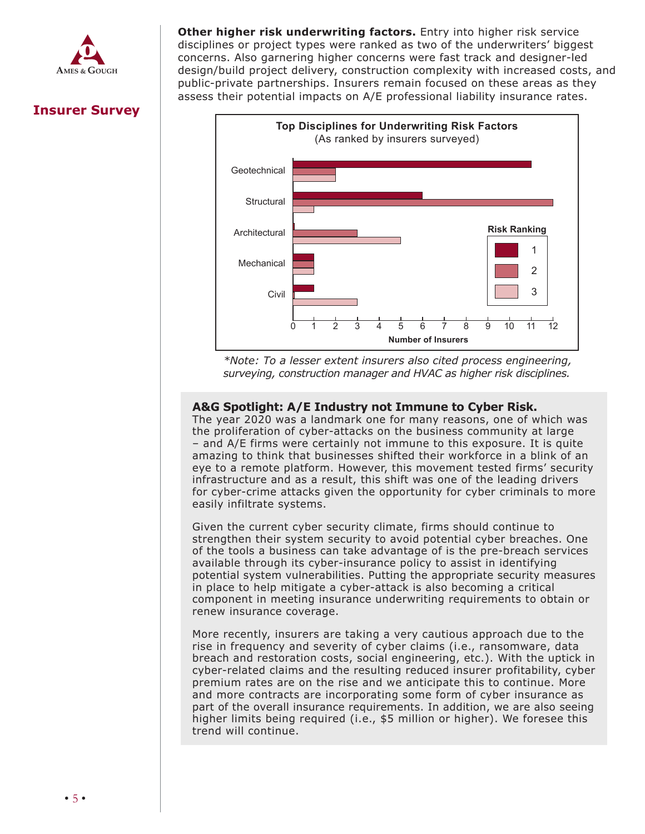

disciplines or project types were ranked as two of the underwriters' biggest concerns. Also garnering higher concerns were fast track and designer-led design/build project delivery, construction complexity with increased costs, and public-private partnerships. Insurers remain focused on these areas as they assess their potential impacts on A/E professional liability insurance rates. **Other higher risk underwriting factors.** Entry into higher risk service





claims, which also involve allegations by the plaintiff that the insured firm violated the *\*Note: To a lesser extent insurers also cited process engineering, surveying, construction manager and HVAC as higher risk disciplines.* 

### A&G Spotlight: A/E Industry not Immune to Cyber Risk.

The year 2020 was a landmark one for many reasons, one of which was the year 2020 was a langulative one for many reasons, one or which was the proliferation of cyber-attacks on the business community at large and a promotation or eyech attacks on the basiness community at large – and A/E firms were certainly not immune to this exposure. It is quite  $\sim$  and  $\lambda$  L mins were certainly not impulse to this exposure. It is quite amazing to think that businesses shifted their workforce in a blink of an eye to a remote platform. However, this movement tested firms' security infrastructure and as a result, this shift was one of the leading drivers for cyber-crime attacks given the opportunity for cyber criminals to more easily infiltrate systems.

Given the current cyber security climate, firms should continue to strengthen their system security to avoid potential cyber breaches. One of the tools a business can take advantage of is the pre-breach services available through its cyber-insurance policy to assist in identifying potential system vulnerabilities. Putting the appropriate security measures in place to help mitigate a cyber-attack is also becoming a critical component in meeting insurance underwriting requirements to obtain or renew insurance coverage.

More recently, insurers are taking a very cautious approach due to the rise in frequency and severity of cyber claims (i.e., ransomware, data breach and restoration costs, social engineering, etc.). With the uptick in cyber-related claims and the resulting reduced insurer profitability, cyber premium rates are on the rise and we anticipate this to continue. More and more contracts are incorporating some form of cyber insurance as part of the overall insurance requirements. In addition, we are also seeing higher limits being required (i.e., \$5 million or higher). We foresee this trend will continue.